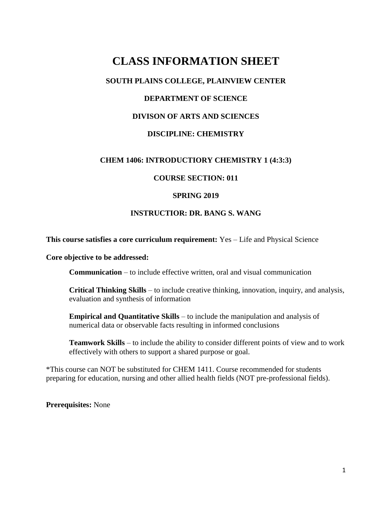# **CLASS INFORMATION SHEET**

# **SOUTH PLAINS COLLEGE, PLAINVIEW CENTER**

# **DEPARTMENT OF SCIENCE**

## **DIVISON OF ARTS AND SCIENCES**

## **DISCIPLINE: CHEMISTRY**

## **CHEM 1406: INTRODUCTIORY CHEMISTRY 1 (4:3:3)**

## **COURSE SECTION: 011**

#### **SPRING 2019**

## **INSTRUCTIOR: DR. BANG S. WANG**

#### **This course satisfies a core curriculum requirement:** Yes – Life and Physical Science

**Core objective to be addressed:**

**Communication** – to include effective written, oral and visual communication

**Critical Thinking Skills** – to include creative thinking, innovation, inquiry, and analysis, evaluation and synthesis of information

**Empirical and Quantitative Skills** – to include the manipulation and analysis of numerical data or observable facts resulting in informed conclusions

**Teamwork Skills** – to include the ability to consider different points of view and to work effectively with others to support a shared purpose or goal.

\*This course can NOT be substituted for CHEM 1411. Course recommended for students preparing for education, nursing and other allied health fields (NOT pre-professional fields).

**Prerequisites:** None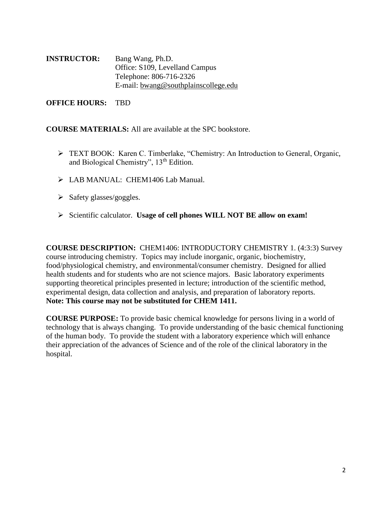| <b>INSTRUCTOR:</b> | Bang Wang, Ph.D.                     |
|--------------------|--------------------------------------|
|                    | Office: S109, Levelland Campus       |
|                    | Telephone: 806-716-2326              |
|                    | E-mail: bwang@southplainscollege.edu |

**OFFICE HOURS:** TBD

**COURSE MATERIALS:** All are available at the SPC bookstore.

- TEXT BOOK: Karen C. Timberlake, "Chemistry: An Introduction to General, Organic, and Biological Chemistry", 13th Edition.
- > LAB MANUAL: CHEM1406 Lab Manual.
- $\triangleright$  Safety glasses/goggles.
- Scientific calculator. **Usage of cell phones WILL NOT BE allow on exam!**

**COURSE DESCRIPTION:** CHEM1406: INTRODUCTORY CHEMISTRY 1. (4:3:3) Survey course introducing chemistry. Topics may include inorganic, organic, biochemistry, food/physiological chemistry, and environmental/consumer chemistry. Designed for allied health students and for students who are not science majors. Basic laboratory experiments supporting theoretical principles presented in lecture; introduction of the scientific method, experimental design, data collection and analysis, and preparation of laboratory reports. **Note: This course may not be substituted for CHEM 1411.**

**COURSE PURPOSE:** To provide basic chemical knowledge for persons living in a world of technology that is always changing. To provide understanding of the basic chemical functioning of the human body. To provide the student with a laboratory experience which will enhance their appreciation of the advances of Science and of the role of the clinical laboratory in the hospital.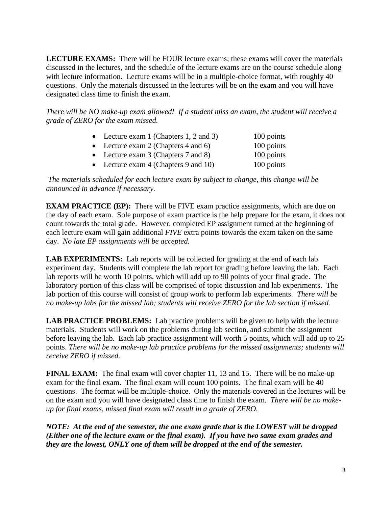**LECTURE EXAMS:** There will be FOUR lecture exams; these exams will cover the materials discussed in the lectures, and the schedule of the lecture exams are on the course schedule along with lecture information. Lecture exams will be in a multiple-choice format, with roughly 40 questions. Only the materials discussed in the lectures will be on the exam and you will have designated class time to finish the exam.

*There will be NO make-up exam allowed! If a student miss an exam, the student will receive a grade of ZERO for the exam missed.*

| • Lecture exam 1 (Chapters 1, 2 and 3) | 100 points |
|----------------------------------------|------------|
| • Lecture exam 2 (Chapters 4 and 6)    | 100 points |
| • Lecture exam $3$ (Chapters 7 and 8)  | 100 points |
| • Lecture exam $4$ (Chapters 9 and 10) | 100 points |
|                                        |            |

*The materials scheduled for each lecture exam by subject to change, this change will be announced in advance if necessary.*

**EXAM PRACTICE** (EP): There will be FIVE exam practice assignments, which are due on the day of each exam. Sole purpose of exam practice is the help prepare for the exam, it does not count towards the total grade. However, completed EP assignment turned at the beginning of each lecture exam will gain additional *FIVE* extra points towards the exam taken on the same day. *No late EP assignments will be accepted.*

**LAB EXPERIMENTS:** Lab reports will be collected for grading at the end of each lab experiment day. Students will complete the lab report for grading before leaving the lab. Each lab reports will be worth 10 points, which will add up to 90 points of your final grade. The laboratory portion of this class will be comprised of topic discussion and lab experiments. The lab portion of this course will consist of group work to perform lab experiments. *There will be no make-up labs for the missed lab; students will receive ZERO for the lab section if missed.*

**LAB PRACTICE PROBLEMS:** Lab practice problems will be given to help with the lecture materials. Students will work on the problems during lab section, and submit the assignment before leaving the lab. Each lab practice assignment will worth 5 points, which will add up to 25 points. *There will be no make-up lab practice problems for the missed assignments; students will receive ZERO if missed.*

**FINAL EXAM:** The final exam will cover chapter 11, 13 and 15. There will be no make-up exam for the final exam. The final exam will count 100 points. The final exam will be 40 questions. The format will be multiple-choice. Only the materials covered in the lectures will be on the exam and you will have designated class time to finish the exam. *There will be no makeup for final exams, missed final exam will result in a grade of ZERO.*

*NOTE: At the end of the semester, the one exam grade that is the LOWEST will be dropped (Either one of the lecture exam or the final exam). If you have two same exam grades and they are the lowest, ONLY one of them will be dropped at the end of the semester.*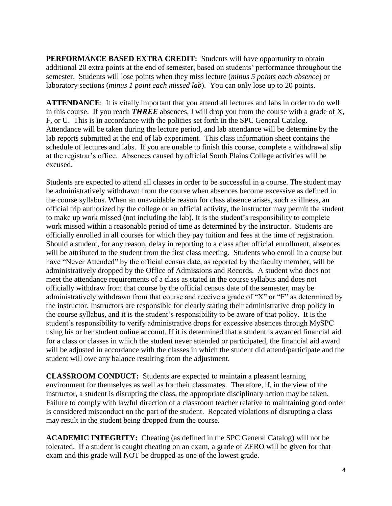**PERFORMANCE BASED EXTRA CREDIT:** Students will have opportunity to obtain additional 20 extra points at the end of semester, based on students' performance throughout the semester. Students will lose points when they miss lecture (*minus 5 points each absence*) or laboratory sections (*minus 1 point each missed lab*). You can only lose up to 20 points.

**ATTENDANCE**: It is vitally important that you attend all lectures and labs in order to do well in this course. If you reach *THREE* absences, I will drop you from the course with a grade of X, F, or U. This is in accordance with the policies set forth in the SPC General Catalog. Attendance will be taken during the lecture period, and lab attendance will be determine by the lab reports submitted at the end of lab experiment. This class information sheet contains the schedule of lectures and labs. If you are unable to finish this course, complete a withdrawal slip at the registrar's office. Absences caused by official South Plains College activities will be excused.

Students are expected to attend all classes in order to be successful in a course. The student may be administratively withdrawn from the course when absences become excessive as defined in the course syllabus. When an unavoidable reason for class absence arises, such as illness, an official trip authorized by the college or an official activity, the instructor may permit the student to make up work missed (not including the lab). It is the student's responsibility to complete work missed within a reasonable period of time as determined by the instructor. Students are officially enrolled in all courses for which they pay tuition and fees at the time of registration. Should a student, for any reason, delay in reporting to a class after official enrollment, absences will be attributed to the student from the first class meeting. Students who enroll in a course but have "Never Attended" by the official census date, as reported by the faculty member, will be administratively dropped by the Office of Admissions and Records. A student who does not meet the attendance requirements of a class as stated in the course syllabus and does not officially withdraw from that course by the official census date of the semester, may be administratively withdrawn from that course and receive a grade of "X" or "F" as determined by the instructor. Instructors are responsible for clearly stating their administrative drop policy in the course syllabus, and it is the student's responsibility to be aware of that policy. It is the student's responsibility to verify administrative drops for excessive absences through MySPC using his or her student online account. If it is determined that a student is awarded financial aid for a class or classes in which the student never attended or participated, the financial aid award will be adjusted in accordance with the classes in which the student did attend/participate and the student will owe any balance resulting from the adjustment.

**CLASSROOM CONDUCT:** Students are expected to maintain a pleasant learning environment for themselves as well as for their classmates. Therefore, if, in the view of the instructor, a student is disrupting the class, the appropriate disciplinary action may be taken. Failure to comply with lawful direction of a classroom teacher relative to maintaining good order is considered misconduct on the part of the student. Repeated violations of disrupting a class may result in the student being dropped from the course.

**ACADEMIC INTEGRITY:** Cheating (as defined in the SPC General Catalog) will not be tolerated. If a student is caught cheating on an exam, a grade of ZERO will be given for that exam and this grade will NOT be dropped as one of the lowest grade.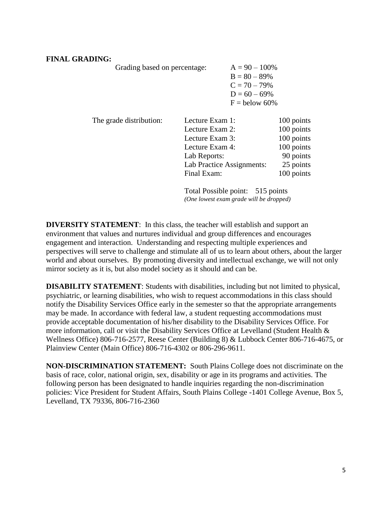## **FINAL GRADING:**

Grading based on percentage:

| $A = 90 - 100\%$ |
|------------------|
| $B = 80 - 89%$   |
| $C = 70 - 79\%$  |
| $D = 60 - 69\%$  |
| $F =$ below 60%  |

| The grade distribution: | Lecture Exam 1:            | 100 points |
|-------------------------|----------------------------|------------|
|                         | Lecture Exam 2:            | 100 points |
|                         | Lecture Exam 3:            | 100 points |
|                         | Lecture Exam 4:            | 100 points |
|                         | Lab Reports:               | 90 points  |
|                         | Lab Practice Assignments:  | 25 points  |
|                         | Final Exam:                | 100 points |
|                         | $T$ , in $T$ is $T$ if $T$ |            |

Total Possible point: 515 points *(One lowest exam grade will be dropped)*

**DIVERSITY STATEMENT**: In this class, the teacher will establish and support an environment that values and nurtures individual and group differences and encourages engagement and interaction. Understanding and respecting multiple experiences and perspectives will serve to challenge and stimulate all of us to learn about others, about the larger world and about ourselves. By promoting diversity and intellectual exchange, we will not only mirror society as it is, but also model society as it should and can be.

**DISABILITY STATEMENT**: Students with disabilities, including but not limited to physical, psychiatric, or learning disabilities, who wish to request accommodations in this class should notify the Disability Services Office early in the semester so that the appropriate arrangements may be made. In accordance with federal law, a student requesting accommodations must provide acceptable documentation of his/her disability to the Disability Services Office. For more information, call or visit the Disability Services Office at Levelland (Student Health & Wellness Office) 806-716-2577, Reese Center (Building 8) & Lubbock Center 806-716-4675, or Plainview Center (Main Office) 806-716-4302 or 806-296-9611.

**NON-DISCRIMINATION STATEMENT:** South Plains College does not discriminate on the basis of race, color, national origin, sex, disability or age in its programs and activities. The following person has been designated to handle inquiries regarding the non-discrimination policies: Vice President for Student Affairs, South Plains College -1401 College Avenue, Box 5, Levelland, TX 79336, 806-716-2360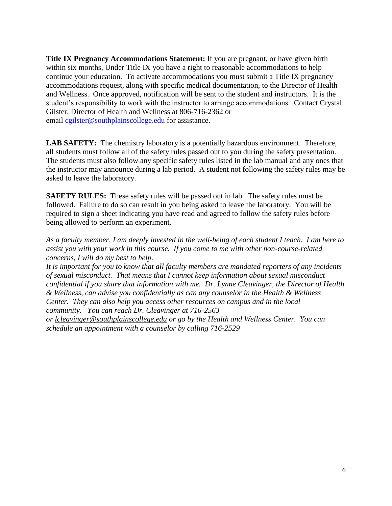**Title IX Pregnancy Accommodations Statement:** If you are pregnant, or have given birth within six months, Under Title IX you have a right to reasonable accommodations to help continue your education. To activate accommodations you must submit a Title IX pregnancy accommodations request, along with specific medical documentation, to the Director of Health and Wellness. Once approved, notification will be sent to the student and instructors. It is the student's responsibility to work with the instructor to arrange accommodations. Contact Crystal Gilster, Director of Health and Wellness at 806-716-2362 or email [cgilster@southplainscollege.edu](mailto:cgilster@southplainscollege.edu) for assistance.

**LAB SAFETY:** The chemistry laboratory is a potentially hazardous environment. Therefore, all students must follow all of the safety rules passed out to you during the safety presentation. The students must also follow any specific safety rules listed in the lab manual and any ones that the instructor may announce during a lab period. A student not following the safety rules may be asked to leave the laboratory.

**SAFETY RULES:** These safety rules will be passed out in lab. The safety rules must be followed. Failure to do so can result in you being asked to leave the laboratory. You will be required to sign a sheet indicating you have read and agreed to follow the safety rules before being allowed to perform an experiment.

*As a faculty member, I am deeply invested in the well-being of each student I teach. I am here to assist you with your work in this course. If you come to me with other non-course-related concerns, I will do my best to help.*

*It is important for you to know that all faculty members are mandated reporters of any incidents of sexual misconduct. That means that I cannot keep information about sexual misconduct confidential if you share that information with me. Dr. Lynne Cleavinger, the Director of Health & Wellness, can advise you confidentially as can any counselor in the Health & Wellness Center. They can also help you access other resources on campus and in the local community. You can reach Dr. Cleavinger at 716-2563* 

*or [lcleavinger@southplainscollege.edu](mailto:lcleavinger@southplainscollege.edu) or go by the Health and Wellness Center. You can schedule an appointment with a counselor by calling 716-2529*